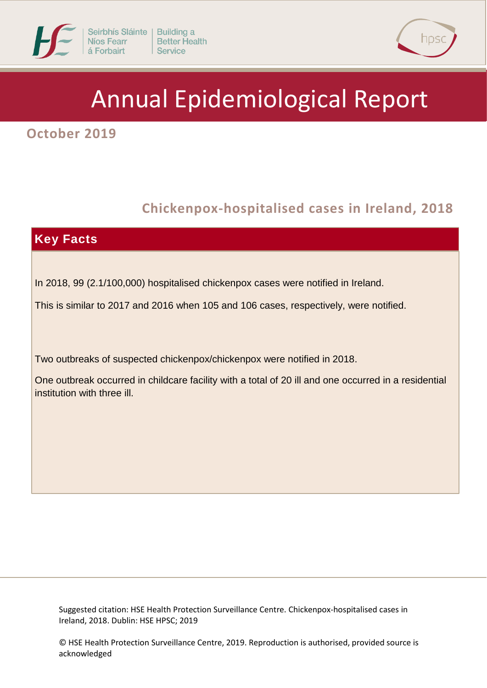



# Annual Epidemiological Report

**October 2019**

# **1 Chickenpox-hospitalised cases in Ireland, 2018**



Suggested citation: HSE Health Protection Surveillance Centre. Chickenpox-hospitalised cases in Ireland, 2018. Dublin: HSE HPSC; 2019

© HSE Health Protection Surveillance Centre, 2019. Reproduction is authorised, provided source is acknowledged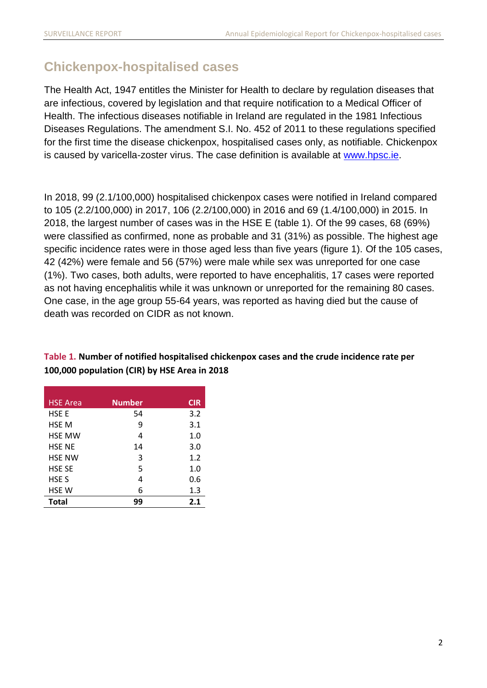## **Chickenpox-hospitalised cases**

The Health Act, 1947 entitles the Minister for Health to declare by regulation diseases that are infectious, covered by legislation and that require notification to a Medical Officer of Health. The infectious diseases notifiable in Ireland are regulated in the 1981 Infectious Diseases Regulations. The amendment S.I. No. 452 of 2011 to these regulations specified for the first time the disease chickenpox, hospitalised cases only, as notifiable. Chickenpox is caused by varicella-zoster virus. The case definition is available at [www.hpsc.ie.](http://www.hpsc.ie/)

In 2018, 99 (2.1/100,000) hospitalised chickenpox cases were notified in Ireland compared to 105 (2.2/100,000) in 2017, 106 (2.2/100,000) in 2016 and 69 (1.4/100,000) in 2015. In 2018, the largest number of cases was in the HSE E (table 1). Of the 99 cases, 68 (69%) were classified as confirmed, none as probable and 31 (31%) as possible. The highest age specific incidence rates were in those aged less than five years (figure 1). Of the 105 cases, 42 (42%) were female and 56 (57%) were male while sex was unreported for one case (1%). Two cases, both adults, were reported to have encephalitis, 17 cases were reported as not having encephalitis while it was unknown or unreported for the remaining 80 cases. One case, in the age group 55-64 years, was reported as having died but the cause of death was recorded on CIDR as not known.

| <b>HSE Area</b>  | <b>Number</b> | <b>CIR</b> |
|------------------|---------------|------------|
| <b>HSE E</b>     | 54            | 3.2        |
| <b>HSE M</b>     | 9             | 3.1        |
| <b>HSE MW</b>    | 4             | 1.0        |
| <b>HSE NE</b>    | 14            | 3.0        |
| <b>HSE NW</b>    | 3             | 1.2        |
| <b>HSE SE</b>    | 5             | 1.0        |
| HSE <sub>S</sub> | 4             | 0.6        |
| HSE W            | 6             | 1.3        |
| <b>Total</b>     | 99            | 2.1        |

#### **Table 1. Number of notified hospitalised chickenpox cases and the crude incidence rate per 100,000 population (CIR) by HSE Area in 2018**